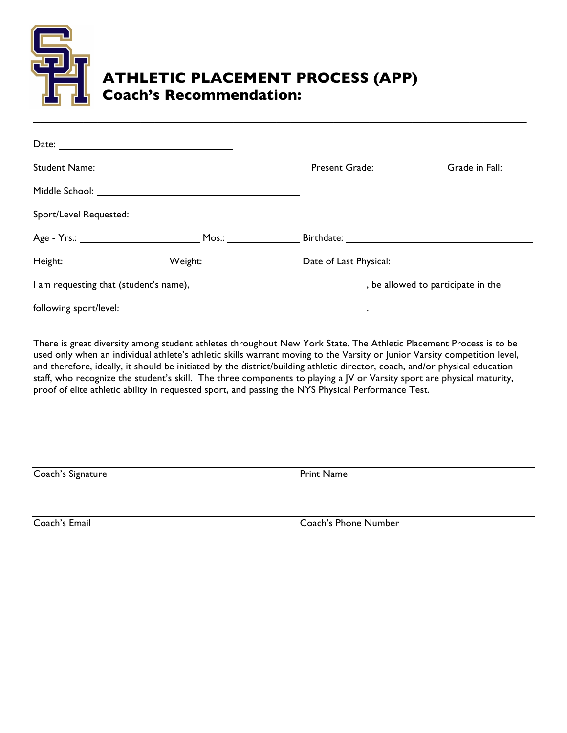

## **ATHLETIC PLACEMENT PROCESS (APP) Coach's Recommendation:**

| Date: |  |                                               |                      |  |  |
|-------|--|-----------------------------------------------|----------------------|--|--|
|       |  | Present Grade: 1997                           | Grade in Fall: _____ |  |  |
|       |  |                                               |                      |  |  |
|       |  |                                               |                      |  |  |
|       |  | <b>Birthdate: Example 2018</b>                |                      |  |  |
|       |  | Date of Last Physical: Date of Last Physical: |                      |  |  |
|       |  |                                               |                      |  |  |
|       |  |                                               |                      |  |  |

There is great diversity among student athletes throughout New York State. The Athletic Placement Process is to be used only when an individual athlete's athletic skills warrant moving to the Varsity or Junior Varsity competition level, and therefore, ideally, it should be initiated by the district/building athletic director, coach, and/or physical education staff, who recognize the student's skill. The three components to playing a JV or Varsity sport are physical maturity, proof of elite athletic ability in requested sport, and passing the NYS Physical Performance Test.

Coach's Signature **Print Name** 

Coach's Email Coach's Phone Number